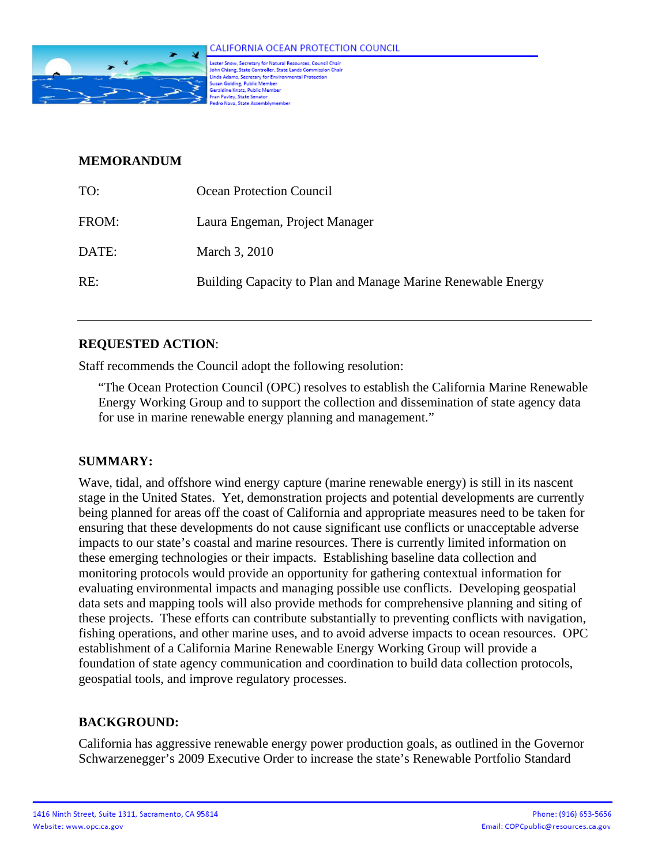

.<br>Lester Snow, Secretary for Natural Resources, Council Chair<br>John Chiang, State Controller, State Lands Commission Chair communications constructed in the communication<br>Linda Adams, Secretary for Environmental Protection<br>Susan Golding, Public Member<br>Geraldine Knatz, Public Member Fran Pavley, State Senator o Nava, State Assembly

### **MEMORANDUM**

| TO:   | <b>Ocean Protection Council</b>                              |
|-------|--------------------------------------------------------------|
| FROM: | Laura Engeman, Project Manager                               |
| DATE: | March 3, 2010                                                |
| RE:   | Building Capacity to Plan and Manage Marine Renewable Energy |

#### **REQUESTED ACTION**:

Staff recommends the Council adopt the following resolution:

"The Ocean Protection Council (OPC) resolves to establish the California Marine Renewable Energy Working Group and to support the collection and dissemination of state agency data for use in marine renewable energy planning and management."

## **SUMMARY:**

Wave, tidal, and offshore wind energy capture (marine renewable energy) is still in its nascent stage in the United States. Yet, demonstration projects and potential developments are currently being planned for areas off the coast of California and appropriate measures need to be taken for ensuring that these developments do not cause significant use conflicts or unacceptable adverse impacts to our state's coastal and marine resources. There is currently limited information on these emerging technologies or their impacts. Establishing baseline data collection and monitoring protocols would provide an opportunity for gathering contextual information for evaluating environmental impacts and managing possible use conflicts. Developing geospatial data sets and mapping tools will also provide methods for comprehensive planning and siting of these projects. These efforts can contribute substantially to preventing conflicts with navigation, fishing operations, and other marine uses, and to avoid adverse impacts to ocean resources. OPC establishment of a California Marine Renewable Energy Working Group will provide a foundation of state agency communication and coordination to build data collection protocols, geospatial tools, and improve regulatory processes.

## **BACKGROUND:**

California has aggressive renewable energy power production goals, as outlined in the Governor Schwarzenegger's 2009 Executive Order to increase the state's Renewable Portfolio Standard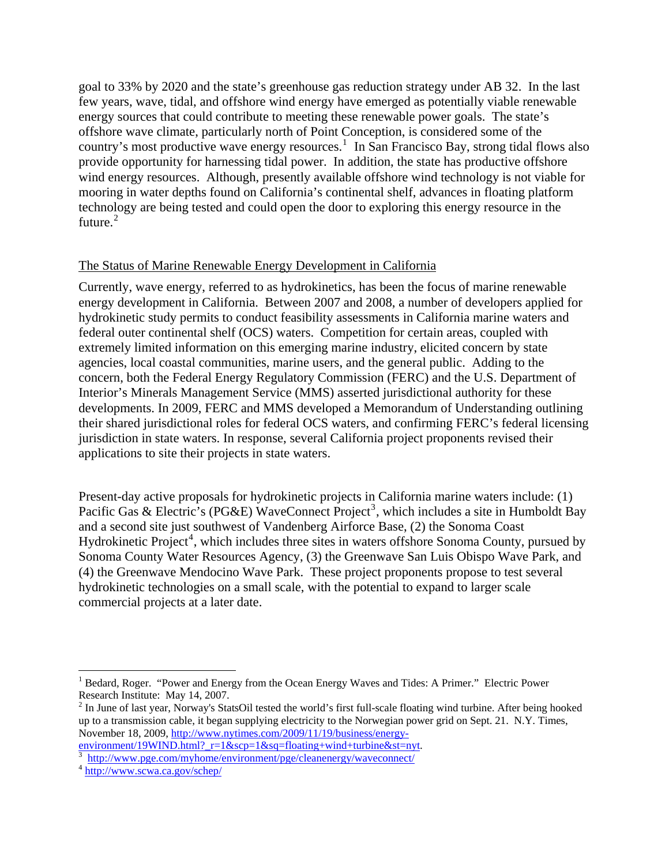goal to 33% by 2020 and the state's greenhouse gas reduction strategy under AB 32. In the last few years, wave, tidal, and offshore wind energy have emerged as potentially viable renewable energy sources that could contribute to meeting these renewable power goals. The state's offshore wave climate, particularly north of Point Conception, is considered some of the country's most productive wave energy resources.<sup>[1](#page-1-0)</sup> In San Francisco Bay, strong tidal flows also provide opportunity for harnessing tidal power. In addition, the state has productive offshore wind energy resources. Although, presently available offshore wind technology is not viable for mooring in water depths found on California's continental shelf, advances in floating platform technology are being tested and could open the door to exploring this energy resource in the future.<sup>[2](#page-1-1)</sup>

#### The Status of Marine Renewable Energy Development in California

Currently, wave energy, referred to as hydrokinetics, has been the focus of marine renewable energy development in California. Between 2007 and 2008, a number of developers applied for hydrokinetic study permits to conduct feasibility assessments in California marine waters and federal outer continental shelf (OCS) waters. Competition for certain areas, coupled with extremely limited information on this emerging marine industry, elicited concern by state agencies, local coastal communities, marine users, and the general public. Adding to the concern, both the Federal Energy Regulatory Commission (FERC) and the U.S. Department of Interior's Minerals Management Service (MMS) asserted jurisdictional authority for these developments. In 2009, FERC and MMS developed a Memorandum of Understanding outlining their shared jurisdictional roles for federal OCS waters, and confirming FERC's federal licensing jurisdiction in state waters. In response, several California project proponents revised their applications to site their projects in state waters.

Present-day active proposals for hydrokinetic projects in California marine waters include: (1) Pacific Gas & Electric's (PG&E) WaveConnect Project<sup>[3](#page-1-2)</sup>, which includes a site in Humboldt Bay and a second site just southwest of Vandenberg Airforce Base, (2) the Sonoma Coast Hydrokinetic Project<sup>[4](#page-1-3)</sup>, which includes three sites in waters offshore Sonoma County, pursued by Sonoma County Water Resources Agency, (3) the Greenwave San Luis Obispo Wave Park, and (4) the Greenwave Mendocino Wave Park. These project proponents propose to test several hydrokinetic technologies on a small scale, with the potential to expand to larger scale commercial projects at a later date.

1

<span id="page-1-0"></span><sup>&</sup>lt;sup>1</sup> Bedard, Roger. "Power and Energy from the Ocean Energy Waves and Tides: A Primer." Electric Power Research Institute: May 14, 2007.

<span id="page-1-1"></span> $2 \text{ In June of last year, Norway's StatsOil tested the world's first full-scale floating wind turbine. After being hooked.}$ up to a transmission cable, it began supplying electricity to the Norwegian power grid on Sept. 21. N.Y. Times, November 18, 2009, [http://www.nytimes.com/2009/11/19/business/energy](http://www.nytimes.com/2009/11/19/business/energy-environment/19WIND.html?_r=1&scp=1&sq=floating+wind+turbine&st=nyt)environment/19WIND.html? $r=1$ &scp=1&sq=floating+wind+turbine&st=nyt.

<span id="page-1-3"></span><span id="page-1-2"></span><sup>&</sup>lt;sup>3</sup><br>
<sup>4</sup> <http://www.pge.com/myhome/environment/pge/cleanenergy/waveconnect/><br>
<sup>4</sup> <http://www.scwa.ca.gov/schep/>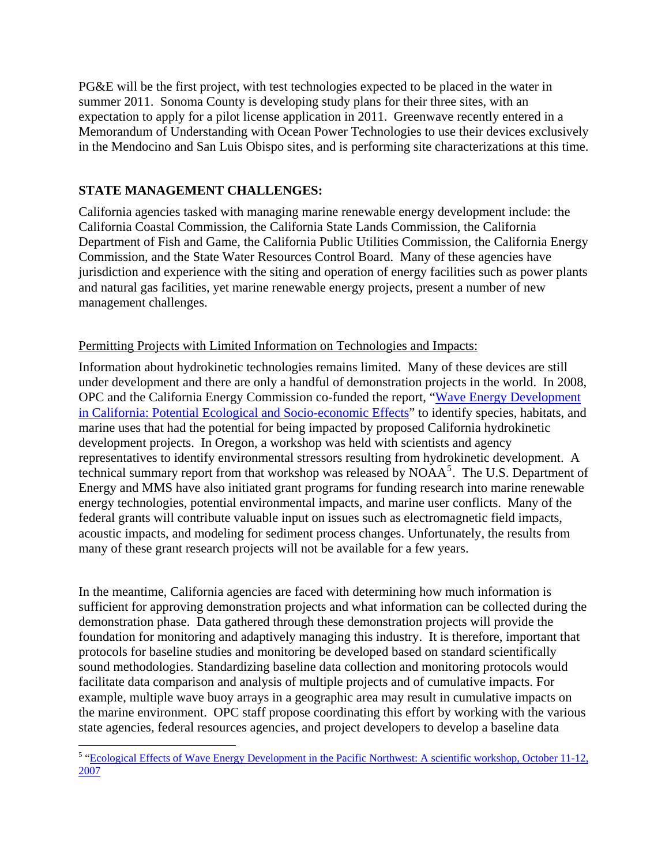PG&E will be the first project, with test technologies expected to be placed in the water in summer 2011. Sonoma County is developing study plans for their three sites, with an expectation to apply for a pilot license application in 2011. Greenwave recently entered in a Memorandum of Understanding with Ocean Power Technologies to use their devices exclusively in the Mendocino and San Luis Obispo sites, and is performing site characterizations at this time.

## **STATE MANAGEMENT CHALLENGES:**

California agencies tasked with managing marine renewable energy development include: the California Coastal Commission, the California State Lands Commission, the California Department of Fish and Game, the California Public Utilities Commission, the California Energy Commission, and the State Water Resources Control Board. Many of these agencies have jurisdiction and experience with the siting and operation of energy facilities such as power plants and natural gas facilities, yet marine renewable energy projects, present a number of new management challenges.

## Permitting Projects with Limited Information on Technologies and Impacts:

Information about hydrokinetic technologies remains limited. Many of these devices are still under development and there are only a handful of demonstration projects in the world. In 2008, OPC and the California Energy Commission co-funded the report, "[Wave Energy Development](http://www.energycentral.com/download/products/ca_wec_effects.pdf) [in California: Potential Ecological and Socio-economic Effects"](http://www.energycentral.com/download/products/ca_wec_effects.pdf) to identify species, habitats, and marine uses that had the potential for being impacted by proposed California hydrokinetic development projects. In Oregon, a workshop was held with scientists and agency representatives to identify environmental stressors resulting from hydrokinetic development. A technical summary report from that workshop was released by NOAA<sup>[5](#page-2-0)</sup>. The U.S. Department of Energy and MMS have also initiated grant programs for funding research into marine renewable energy technologies, potential environmental impacts, and marine user conflicts. Many of the federal grants will contribute valuable input on issues such as electromagnetic field impacts, acoustic impacts, and modeling for sediment process changes. Unfortunately, the results from many of these grant research projects will not be available for a few years.

In the meantime, California agencies are faced with determining how much information is sufficient for approving demonstration projects and what information can be collected during the demonstration phase. Data gathered through these demonstration projects will provide the foundation for monitoring and adaptively managing this industry. It is therefore, important that protocols for baseline studies and monitoring be developed based on standard scientifically sound methodologies. Standardizing baseline data collection and monitoring protocols would facilitate data comparison and analysis of multiple projects and of cumulative impacts. For example, multiple wave buoy arrays in a geographic area may result in cumulative impacts on the marine environment. OPC staff propose coordinating this effort by working with the various state agencies, federal resources agencies, and project developers to develop a baseline data

<span id="page-2-0"></span> $\overline{a}$ <sup>5</sup> "Ecological Effects of Wave Energy Development in the Pacific Northwest: A scientific workshop, October 11-12, [2007](http://hmsc.oregonstate.edu/waveenergy/)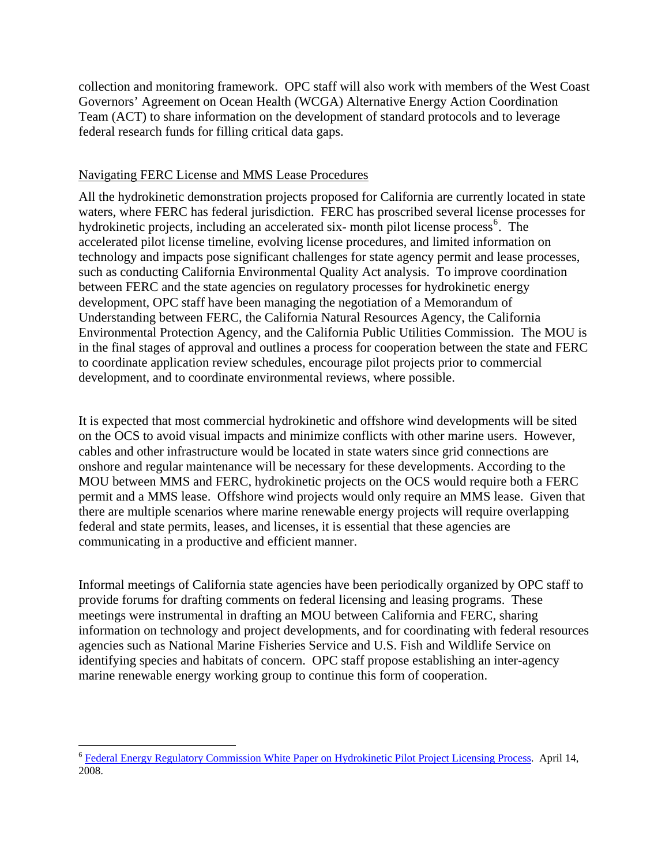collection and monitoring framework. OPC staff will also work with members of the West Coast Governors' Agreement on Ocean Health (WCGA) Alternative Energy Action Coordination Team (ACT) to share information on the development of standard protocols and to leverage federal research funds for filling critical data gaps.

#### Navigating FERC License and MMS Lease Procedures

All the hydrokinetic demonstration projects proposed for California are currently located in state waters, where FERC has federal jurisdiction. FERC has proscribed several license processes for hydrokinetic projects, including an accelerated six-month pilot license process<sup>[6](#page-3-0)</sup>. The accelerated pilot license timeline, evolving license procedures, and limited information on technology and impacts pose significant challenges for state agency permit and lease pro cesses, such as conducting California Environmental Quality Act analysis. To improve coordination between FERC and the state agencies on regulatory processes for hydrokinetic energy development, OPC staff have been managing the negotiation of a Memorandum of Understanding between FERC, the California Natural Resources Agency, the California Environmental Protection Agency, and the California Public Utilities Commission. The MO U is in the final stages of approval and outlines a process for cooperation between the state and FERC to coordinate application review schedules, encourage pilot projects prior to commercial development, and to coordinate environme ntal reviews, where possible.

It is expected that most commercial hydrokinetic and offshore wind developments will be sited on the OCS to avoid visual impacts and minimize conflicts with other marine users. However, cables and other infrastructure would be located in state waters since grid connections are onshore and regular maintenance will be necessary for these developments. According to the MOU between MMS and FERC, hydrokinetic projects on the OCS would require both a FERC permit and a MMS lease. Offshore wind projects would only require an MMS lease. Given that there are multiple scenarios where marine renewable energy projects will require overlapping federal and state permits, leases, and licenses, it is essential that these agencies are communicating in a productive and efficient manner.

Informal meetings of California state agencies have been periodically organized by OPC staff to provide forums for drafting comments on federal licensing and leasing programs. These meetings were instrumental in drafting an MOU between California and FERC, sharing information on technology and project developments, and for coordinating with federal resources agencies such as National Marine Fisheries Service and U.S. Fish and Wildlife Service on identifying species and habitats of concern. OPC staff propose establishing an inter-agency marine renewable energy working group to continue this form of cooperation.

1

<span id="page-3-0"></span><sup>6</sup> [Federal Energy Regulatory Commission White Paper on Hydrokinetic Pilot Project Licensing Process](http://www.ferc.gov/industries/hydropower/indus-act/hydrokinetics/pdf/white_paper.pdf). April 14, 2008.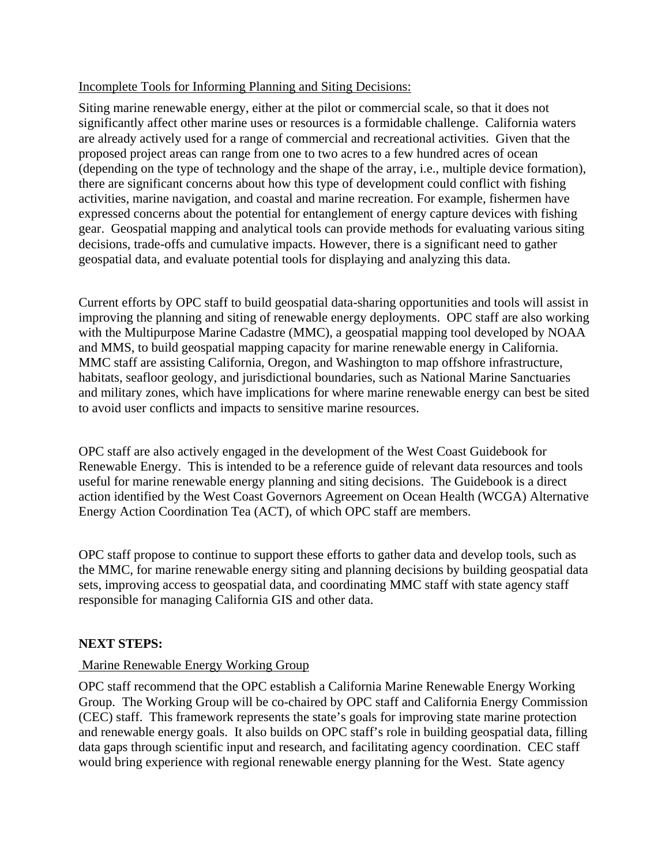### Incomplete Tools for Informing Planning and Siting Decisions:

Siting marine renewable energy, either at the pilot or commercial scale, so that it does not significantly affect other marine uses or resources is a formidable challenge. California waters are already actively used for a range of commercial and recreational activities. Given that the proposed project areas can range from one to two acres to a few hundred acres of ocean (depending on the type of technology and the shape of the array, i.e., multiple device formation), there are significant concerns about how this type of development could conflict with fishing activities, marine navigation, and coastal and marine recreation. For example, fishermen have expressed concerns about the potential for entanglement of energy capture devices with fishing gear. Geospatial mapping and analytical tools can provide methods for evaluating various siting decisions, trade-offs and cumulative impacts. However, there is a significant need to gather geospatial data, and evaluate potential tools for displaying and analyzing this data.

Current efforts by OPC staff to build geospatial data-sharing opportunities and tools will assist in improving the planning and siting of renewable energy deployments. OPC staff are also working with the Multipurpose Marine Cadastre (MMC), a geospatial mapping tool developed by NOAA and MMS, to build geospatial mapping capacity for marine renewable energy in California. MMC staff are assisting California, Oregon, and Washington to map offshore infrastructure, habitats, seafloor geology, and jurisdictional boundaries, such as National Marine Sanctuaries and military zones, which have implications for where marine renewable energy can best be sited to avoid user conflicts and impacts to sensitive marine resources.

OPC staff are also actively engaged in the development of the West Coast Guidebook for Renewable Energy. This is intended to be a reference guide of relevant data resources and tools useful for marine renewable energy planning and siting decisions. The Guidebook is a direct action identified by the West Coast Governors Agreement on Ocean Health (WCGA) Alternative Energy Action Coordination Tea (ACT), of which OPC staff are members.

OPC staff propose to continue to support these efforts to gather data and develop tools, such as the MMC, for marine renewable energy siting and planning decisions by building geospatial data sets, improving access to geospatial data, and coordinating MMC staff with state agency staff responsible for managing California GIS and other data.

## **NEXT STEPS:**

#### Marine Renewable Energy Working Group

OPC staff recommend that the OPC establish a California Marine Renewable Energy Working Group. The Working Group will be co-chaired by OPC staff and California Energy Commission (CEC) staff. This framework represents the state's goals for improving state marine protection and renewable energy goals. It also builds on OPC staff's role in building geospatial data, filling data gaps through scientific input and research, and facilitating agency coordination. CEC staff would bring experience with regional renewable energy planning for the West. State agency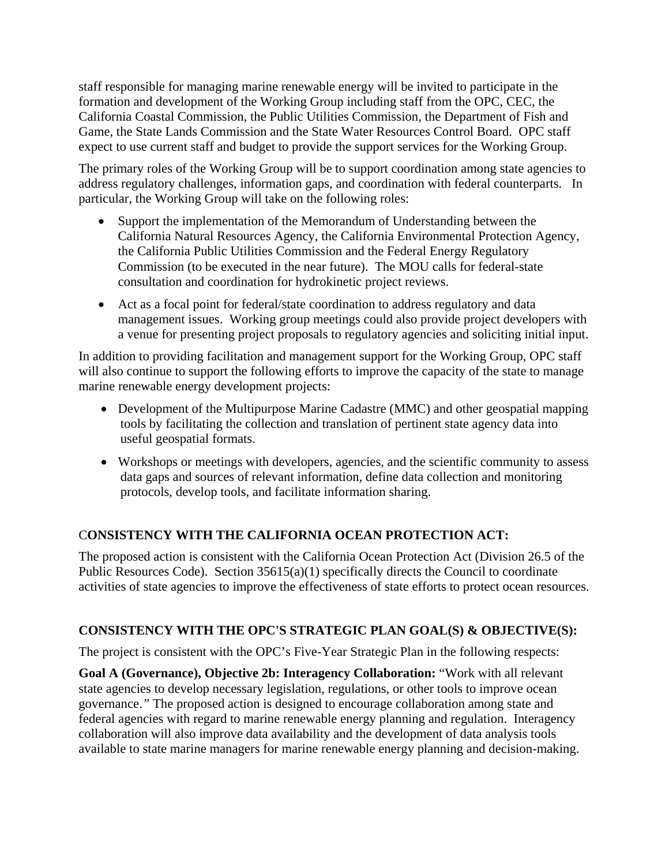staff responsible for managing marine renewable energy will be invited to participate in the formation and development of the Working Group including staff from the OPC, CEC, the California Coastal Commission, the Public Utilities Commission, the Department of Fish and Game, the State Lands Commission and the State Water Resources Control Board. OPC staff expect to use current staff and budget to provide the support services for the Working Group.

The primary roles of the Working Group will be to support coordination among state agencies to address regulatory challenges, information gaps, and coordination with federal counterparts. In particular, the Working Group will take on the following roles:

- Support the implementation of the Memorandum of Understanding between the California Natural Resources Agency, the California Environmental Protection Agency, the California Public Utilities Commission and the Federal Energy Regulatory Commission (to be executed in the near future). The MOU calls for federal-state consultation and coordination for hydrokinetic project reviews.
- Act as a focal point for federal/state coordination to address regulatory and data management issues. Working group meetings could also provide project developers with a venue for presenting project proposals to regulatory agencies and soliciting initial input.

In addition to providing facilitation and management support for the Working Group, OPC staff will also continue to support the following efforts to improve the capacity of the state to manage marine renewable energy development projects:

- Development of the Multipurpose Marine Cadastre (MMC) and other geospatial mapping tools by facilitating the collection and translation of pertinent state agency data into useful geospatial formats.
- Workshops or meetings with developers, agencies, and the scientific community to assess data gaps and sources of relevant information, define data collection and monitoring protocols, develop tools, and facilitate information sharing.

# C**ONSISTENCY WITH THE CALIFORNIA OCEAN PROTECTION ACT:**

The proposed action is consistent with the California Ocean Protection Act (Division 26.5 of the Public Resources Code). Section 35615(a)(1) specifically directs the Council to coordinate activities of state agencies to improve the effectiveness of state efforts to protect ocean resources.

## **CONSISTENCY WITH THE OPC'S STRATEGIC PLAN GOAL(S) & OBJECTIVE(S):**

The project is consistent with the OPC's Five-Year Strategic Plan in the following respects:

**Goal A (Governance), Objective 2b: Interagency Collaboration:** "Work with all relevant state agencies to develop necessary legislation, regulations, or other tools to improve ocean governance.*"* The proposed action is designed to encourage collaboration among state and federal agencies with regard to marine renewable energy planning and regulation. Interagency collaboration will also improve data availability and the development of data analysis tools available to state marine managers for marine renewable energy planning and decision-making.